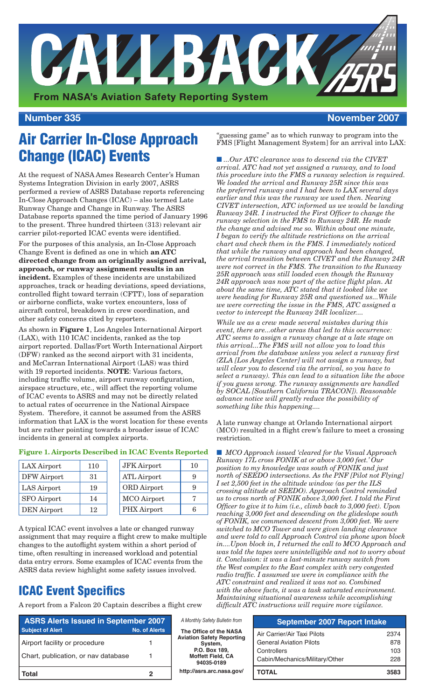

#### **Number 335 November 2007**

# Air Carrier In-Close Approach Change (ICAC) Events

At the request of NASA Ames Research Center's Human Systems Integration Division in early 2007, ASRS performed a review of ASRS Database reports referencing In-Close Approach Changes (ICAC) – also termed Late Runway Change and Change in Runway. The ASRS Database reports spanned the time period of January 1996 to the present. Three hundred thirteen (313) relevant air carrier pilot-reported ICAC events were identified.

For the purposes of this analysis, an In-Close Approach Change Event is defined as one in which **an ATC directed change from an originally assigned arrival, approach, or runway assignment results in an incident.** Examples of these incidents are unstabilized approaches, track or heading deviations, speed deviations, controlled flight toward terrain (CFTT), loss of separation or airborne conflicts, wake vortex encounters, loss of aircraft control, breakdown in crew coordination, and other safety concerns cited by reporters.

As shown in **Figure 1**, Los Angeles International Airport (LAX), with 110 ICAC incidents, ranked as the top airport reported. Dallas/Fort Worth International Airport (DFW) ranked as the second airport with 31 incidents, and McCarran International Airport (LAS) was third with 19 reported incidents. **NOTE**: Various factors, including traffic volume, airport runway configuration, airspace structure, etc., will affect the reporting volume of ICAC events to ASRS and may not be directly related to actual rates of occurrence in the National Airspace System. Therefore, it cannot be assumed from the ASRS information that LAX is the worst location for these events but are rather pointing towards a broader issue of ICAC incidents in general at complex airports.

#### **Figure 1. Airports Described in ICAC Events Reported**

| LAX Airport        | 110 | <b>JFK</b> Airport | 10 |
|--------------------|-----|--------------------|----|
| DFW Airport        | 31  | ATL Airport        |    |
| LAS Airport        | 19  | ORD Airport        |    |
| <b>SFO</b> Airport | 14  | MCO Airport        |    |
| <b>DEN</b> Airport | 12  | PHX Airport        |    |

A typical ICAC event involves a late or changed runway assignment that may require a flight crew to make multiple changes to the autoflight system within a short period of time, often resulting in increased workload and potential data entry errors. Some examples of ICAC events from the ASRS data review highlight some safety issues involved.

### ICAC Event Specifics

A report from a Falcon 20 Captain describes a flight crew

"guessing game" as to which runway to program into the FMS [Flight Management System] for an arrival into LAX:

■ ...Our ATC clearance was to descend via the CIVET *arrival. ATC had not yet assigned a runway, and to load this procedure into the FMS a runway selection is required. We loaded the arrival and Runway 25R since this was the preferred runway and I had been to LAX several days earlier and this was the runway we used then. Nearing CIVET intersection, ATC informed us we would be landing Runway 24R. I instructed the First Officer to change the runway selection in the FMS to Runway 24R. He made the change and advised me so. Within about one minute, I began to verify the altitude restrictions on the arrival chart and check them in the FMS. I immediately noticed that while the runway and approach had been changed, the arrival transition between CIVET and the Runway 24R were not correct in the FMS. The transition to the Runway 25R approach was still loaded even though the Runway 24R approach was now part of the active flight plan. At about the same time, ATC stated that it looked like we were heading for Runway 25R and questioned us...While we were correcting the issue in the FMS, ATC assigned a vector to intercept the Runway 24R localizer....*

*While we as a crew made several mistakes during this event, there are...other areas that led to this occurrence: ATC seems to assign a runway change at a late stage on this arrival...The FMS will not allow you to load this arrival from the database unless you select a runway first (ZLA [Los Angeles Center] will not assign a runway, but will clear you to descend via the arrival, so you have to select a runway). This can lead to a situation like the above if you guess wrong. The runway assignments are handled by SOCAL [Southern California TRACON]). Reasonable advance notice will greatly reduce the possibility of something like this happening....* 

A late runway change at Orlando International airport (MCO) resulted in a flight crew's failure to meet a crossing restriction.

■ *MCO Approach issued 'cleared for the Visual Approach Runway 17L cross FONIK at or above 3,000 feet.' Our position to my knowledge was south of FONIK and just north of SEEDO intersections. As the PNF [Pilot not Flying] I set 2,500 feet in the altitude window (as per the ILS crossing altitude at SEEDO). Approach Control reminded us to cross north of FONIK above 3,000 feet. I told the First Officer to give it to him (i.e., climb back to 3,000 feet). Upon reaching 3,000 feet and descending on the glideslope south of FONIK, we commenced descent from 3,000 feet. We were switched to MCO Tower and were given landing clearance and were told to call Approach Control via phone upon block in....Upon block in, I returned the call to MCO Approach and was told the tapes were unintelligible and not to worry about it. Conclusion: it was a last-minute runway switch from the West complex to the East complex with very congested radio traffic. I assumed we were in compliance with the ATC constraint and realized it was not so. Combined with the above facts, it was a task saturated environment. Maintaining situational awareness while accomplishing difficult ATC instructions will require more vigilance.*

| <b>ASRS Alerts Issued in September 2007</b> |                      |  |
|---------------------------------------------|----------------------|--|
| <b>Subject of Alert</b>                     | <b>No. of Alerts</b> |  |
| Airport facility or procedure               | 1                    |  |
| Chart, publication, or nav database         | 1                    |  |
| Total                                       |                      |  |

*A Monthly Safety Bulletin from* **The Office of the NASA Aviation Safety Reporting System, P.O. Box 189, Moffett Field, CA 94035-0189 http://asrs.arc.nasa.gov/**

| <b>September 2007 Report Intake</b> |      |  |
|-------------------------------------|------|--|
| Air Carrier/Air Taxi Pilots         | 2374 |  |
| <b>General Aviation Pilots</b>      | 878  |  |
| Controllers                         | 103  |  |
| Cabin/Mechanics/Military/Other      | 228  |  |
| ΤΟΤΑΙ                               | 3583 |  |